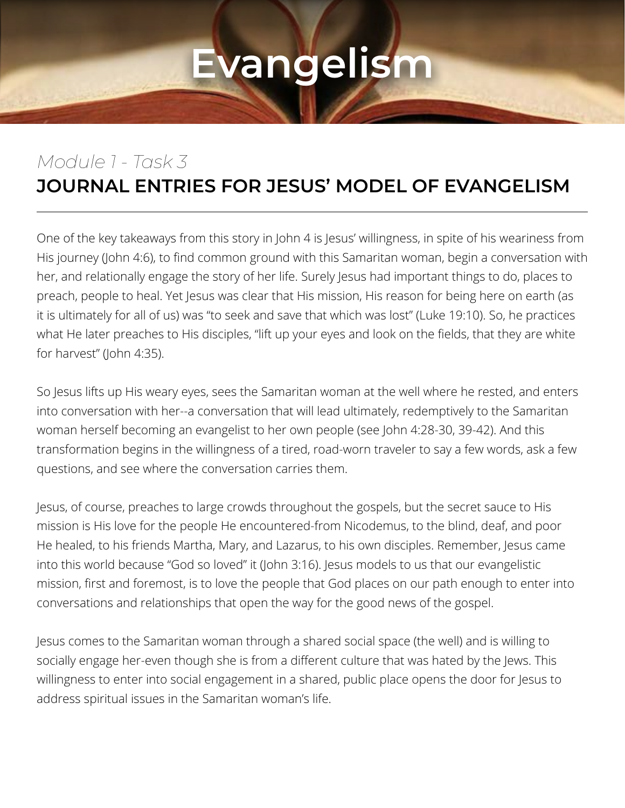#### *Module 1 - Task 3* **JOURNAL ENTRIES FOR JESUS' MODEL OF EVANGELISM**

One of the key takeaways from this story in John 4 is Jesus' willingness, in spite of his weariness from His journey (John 4:6), to find common ground with this Samaritan woman, begin a conversation with her, and relationally engage the story of her life. Surely Jesus had important things to do, places to preach, people to heal. Yet Jesus was clear that His mission, His reason for being here on earth (as it is ultimately for all of us) was "to seek and save that which was lost" (Luke 19:10). So, he practices what He later preaches to His disciples, "lift up your eyes and look on the fields, that they are white for harvest" (John 4:35).

So Jesus lifts up His weary eyes, sees the Samaritan woman at the well where he rested, and enters into conversation with her--a conversation that will lead ultimately, redemptively to the Samaritan woman herself becoming an evangelist to her own people (see John 4:28-30, 39-42). And this transformation begins in the willingness of a tired, road-worn traveler to say a few words, ask a few questions, and see where the conversation carries them.

Jesus, of course, preaches to large crowds throughout the gospels, but the secret sauce to His mission is His love for the people He encountered-from Nicodemus, to the blind, deaf, and poor He healed, to his friends Martha, Mary, and Lazarus, to his own disciples. Remember, Jesus came into this world because "God so loved" it (John 3:16). Jesus models to us that our evangelistic mission, first and foremost, is to love the people that God places on our path enough to enter into conversations and relationships that open the way for the good news of the gospel.

Jesus comes to the Samaritan woman through a shared social space (the well) and is willing to socially engage her-even though she is from a different culture that was hated by the Jews. This willingness to enter into social engagement in a shared, public place opens the door for Jesus to address spiritual issues in the Samaritan woman's life.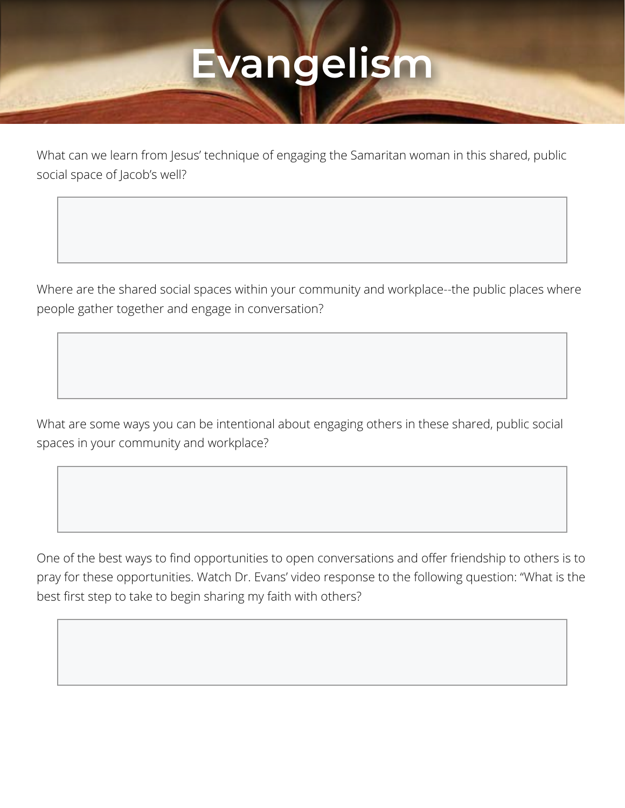What can we learn from Jesus' technique of engaging the Samaritan woman in this shared, public social space of Jacob's well?

Where are the shared social spaces within your community and workplace--the public places where people gather together and engage in conversation?

What are some ways you can be intentional about engaging others in these shared, public social spaces in your community and workplace?

One of the best ways to find opportunities to open conversations and offer friendship to others is to pray for these opportunities. Watch Dr. Evans' video response to the following question: "What is the best first step to take to begin sharing my faith with others?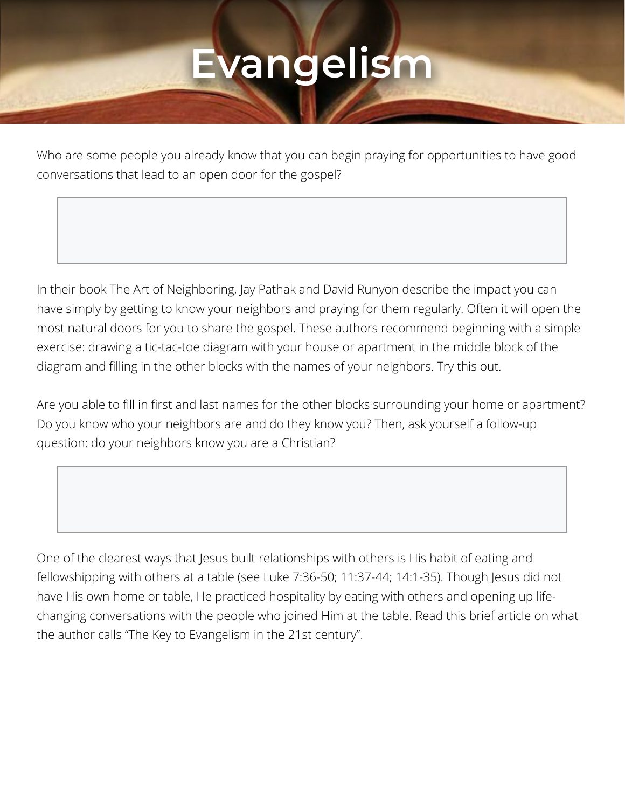Who are some people you already know that you can begin praying for opportunities to have good conversations that lead to an open door for the gospel?

In their book The Art of Neighboring, Jay Pathak and David Runyon describe the impact you can have simply by getting to know your neighbors and praying for them regularly. Often it will open the most natural doors for you to share the gospel. These authors recommend beginning with a simple exercise: drawing a tic-tac-toe diagram with your house or apartment in the middle block of the diagram and filling in the other blocks with the names of your neighbors. Try this out.

Are you able to fill in first and last names for the other blocks surrounding your home or apartment? Do you know who your neighbors are and do they know you? Then, ask yourself a follow-up question: do your neighbors know you are a Christian?

One of the clearest ways that Jesus built relationships with others is His habit of eating and fellowshipping with others at a table (see Luke 7:36-50; 11:37-44; 14:1-35). Though Jesus did not have His own home or table, He practiced hospitality by eating with others and opening up lifechanging conversations with the people who joined Him at the table. Read this brief article on what the author calls "The Key to Evangelism in the 21st century".